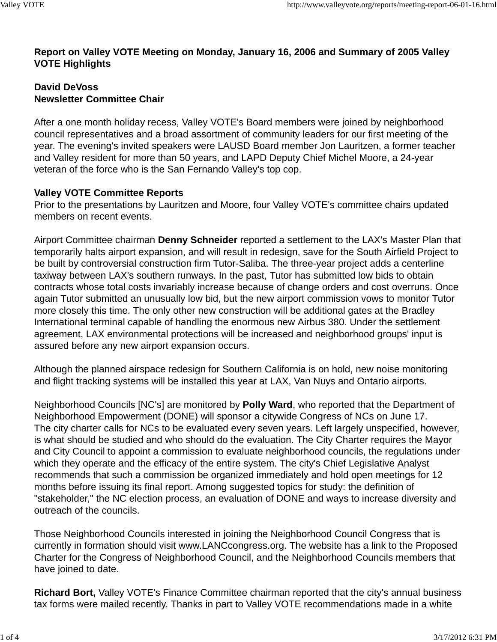### **Report on Valley VOTE Meeting on Monday, January 16, 2006 and Summary of 2005 Valley VOTE Highlights**

#### **David DeVoss Newsletter Committee Chair**

After a one month holiday recess, Valley VOTE's Board members were joined by neighborhood council representatives and a broad assortment of community leaders for our first meeting of the year. The evening's invited speakers were LAUSD Board member Jon Lauritzen, a former teacher and Valley resident for more than 50 years, and LAPD Deputy Chief Michel Moore, a 24-year veteran of the force who is the San Fernando Valley's top cop.

### **Valley VOTE Committee Reports**

Prior to the presentations by Lauritzen and Moore, four Valley VOTE's committee chairs updated members on recent events.

Airport Committee chairman **Denny Schneider** reported a settlement to the LAX's Master Plan that temporarily halts airport expansion, and will result in redesign, save for the South Airfield Project to be built by controversial construction firm Tutor-Saliba. The three-year project adds a centerline taxiway between LAX's southern runways. In the past, Tutor has submitted low bids to obtain contracts whose total costs invariably increase because of change orders and cost overruns. Once again Tutor submitted an unusually low bid, but the new airport commission vows to monitor Tutor more closely this time. The only other new construction will be additional gates at the Bradley International terminal capable of handling the enormous new Airbus 380. Under the settlement agreement, LAX environmental protections will be increased and neighborhood groups' input is assured before any new airport expansion occurs.

Although the planned airspace redesign for Southern California is on hold, new noise monitoring and flight tracking systems will be installed this year at LAX, Van Nuys and Ontario airports.

Neighborhood Councils [NC's] are monitored by **Polly Ward**, who reported that the Department of Neighborhood Empowerment (DONE) will sponsor a citywide Congress of NCs on June 17. The city charter calls for NCs to be evaluated every seven years. Left largely unspecified, however, is what should be studied and who should do the evaluation. The City Charter requires the Mayor and City Council to appoint a commission to evaluate neighborhood councils, the regulations under which they operate and the efficacy of the entire system. The city's Chief Legislative Analyst recommends that such a commission be organized immediately and hold open meetings for 12 months before issuing its final report. Among suggested topics for study: the definition of "stakeholder," the NC election process, an evaluation of DONE and ways to increase diversity and outreach of the councils.

Those Neighborhood Councils interested in joining the Neighborhood Council Congress that is currently in formation should visit www.LANCcongress.org. The website has a link to the Proposed Charter for the Congress of Neighborhood Council, and the Neighborhood Councils members that have joined to date.

**Richard Bort,** Valley VOTE's Finance Committee chairman reported that the city's annual business tax forms were mailed recently. Thanks in part to Valley VOTE recommendations made in a white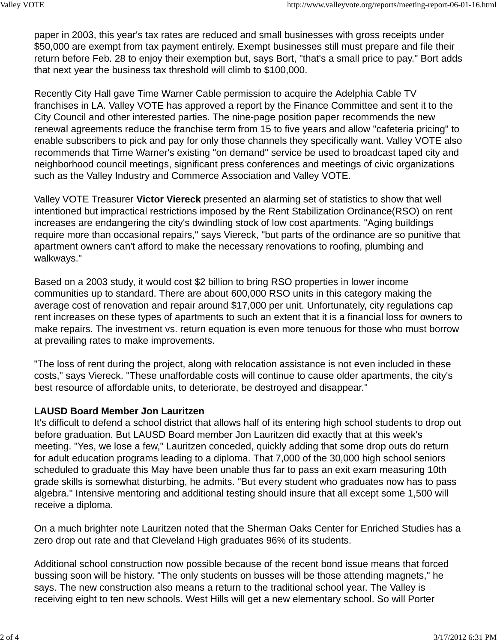paper in 2003, this year's tax rates are reduced and small businesses with gross receipts under \$50,000 are exempt from tax payment entirely. Exempt businesses still must prepare and file their return before Feb. 28 to enjoy their exemption but, says Bort, "that's a small price to pay." Bort adds that next year the business tax threshold will climb to \$100,000.

Recently City Hall gave Time Warner Cable permission to acquire the Adelphia Cable TV franchises in LA. Valley VOTE has approved a report by the Finance Committee and sent it to the City Council and other interested parties. The nine-page position paper recommends the new renewal agreements reduce the franchise term from 15 to five years and allow "cafeteria pricing" to enable subscribers to pick and pay for only those channels they specifically want. Valley VOTE also recommends that Time Warner's existing "on demand" service be used to broadcast taped city and neighborhood council meetings, significant press conferences and meetings of civic organizations such as the Valley Industry and Commerce Association and Valley VOTE.

Valley VOTE Treasurer **Victor Viereck** presented an alarming set of statistics to show that well intentioned but impractical restrictions imposed by the Rent Stabilization Ordinance(RSO) on rent increases are endangering the city's dwindling stock of low cost apartments. "Aging buildings require more than occasional repairs," says Viereck, "but parts of the ordinance are so punitive that apartment owners can't afford to make the necessary renovations to roofing, plumbing and walkways."

Based on a 2003 study, it would cost \$2 billion to bring RSO properties in lower income communities up to standard. There are about 600,000 RSO units in this category making the average cost of renovation and repair around \$17,000 per unit. Unfortunately, city regulations cap rent increases on these types of apartments to such an extent that it is a financial loss for owners to make repairs. The investment vs. return equation is even more tenuous for those who must borrow at prevailing rates to make improvements.

"The loss of rent during the project, along with relocation assistance is not even included in these costs," says Viereck. "These unaffordable costs will continue to cause older apartments, the city's best resource of affordable units, to deteriorate, be destroyed and disappear."

#### **LAUSD Board Member Jon Lauritzen**

It's difficult to defend a school district that allows half of its entering high school students to drop out before graduation. But LAUSD Board member Jon Lauritzen did exactly that at this week's meeting. "Yes, we lose a few," Lauritzen conceded, quickly adding that some drop outs do return for adult education programs leading to a diploma. That 7,000 of the 30,000 high school seniors scheduled to graduate this May have been unable thus far to pass an exit exam measuring 10th grade skills is somewhat disturbing, he admits. "But every student who graduates now has to pass algebra." Intensive mentoring and additional testing should insure that all except some 1,500 will receive a diploma.

On a much brighter note Lauritzen noted that the Sherman Oaks Center for Enriched Studies has a zero drop out rate and that Cleveland High graduates 96% of its students.

Additional school construction now possible because of the recent bond issue means that forced bussing soon will be history. "The only students on busses will be those attending magnets," he says. The new construction also means a return to the traditional school year. The Valley is receiving eight to ten new schools. West Hills will get a new elementary school. So will Porter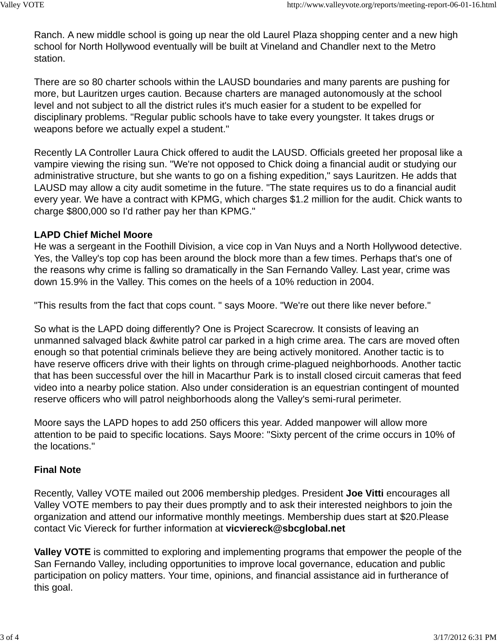Ranch. A new middle school is going up near the old Laurel Plaza shopping center and a new high school for North Hollywood eventually will be built at Vineland and Chandler next to the Metro station.

There are so 80 charter schools within the LAUSD boundaries and many parents are pushing for more, but Lauritzen urges caution. Because charters are managed autonomously at the school level and not subject to all the district rules it's much easier for a student to be expelled for disciplinary problems. "Regular public schools have to take every youngster. It takes drugs or weapons before we actually expel a student."

Recently LA Controller Laura Chick offered to audit the LAUSD. Officials greeted her proposal like a vampire viewing the rising sun. "We're not opposed to Chick doing a financial audit or studying our administrative structure, but she wants to go on a fishing expedition," says Lauritzen. He adds that LAUSD may allow a city audit sometime in the future. "The state requires us to do a financial audit every year. We have a contract with KPMG, which charges \$1.2 million for the audit. Chick wants to charge \$800,000 so I'd rather pay her than KPMG."

# **LAPD Chief Michel Moore**

He was a sergeant in the Foothill Division, a vice cop in Van Nuys and a North Hollywood detective. Yes, the Valley's top cop has been around the block more than a few times. Perhaps that's one of the reasons why crime is falling so dramatically in the San Fernando Valley. Last year, crime was down 15.9% in the Valley. This comes on the heels of a 10% reduction in 2004.

"This results from the fact that cops count. " says Moore. "We're out there like never before."

So what is the LAPD doing differently? One is Project Scarecrow. It consists of leaving an unmanned salvaged black &white patrol car parked in a high crime area. The cars are moved often enough so that potential criminals believe they are being actively monitored. Another tactic is to have reserve officers drive with their lights on through crime-plagued neighborhoods. Another tactic that has been successful over the hill in Macarthur Park is to install closed circuit cameras that feed video into a nearby police station. Also under consideration is an equestrian contingent of mounted reserve officers who will patrol neighborhoods along the Valley's semi-rural perimeter.

Moore says the LAPD hopes to add 250 officers this year. Added manpower will allow more attention to be paid to specific locations. Says Moore: "Sixty percent of the crime occurs in 10% of the locations."

# **Final Note**

Recently, Valley VOTE mailed out 2006 membership pledges. President **Joe Vitti** encourages all Valley VOTE members to pay their dues promptly and to ask their interested neighbors to join the organization and attend our informative monthly meetings. Membership dues start at \$20.Please contact Vic Viereck for further information at **vicviereck@sbcglobal.net**

**Valley VOTE** is committed to exploring and implementing programs that empower the people of the San Fernando Valley, including opportunities to improve local governance, education and public participation on policy matters. Your time, opinions, and financial assistance aid in furtherance of this goal.